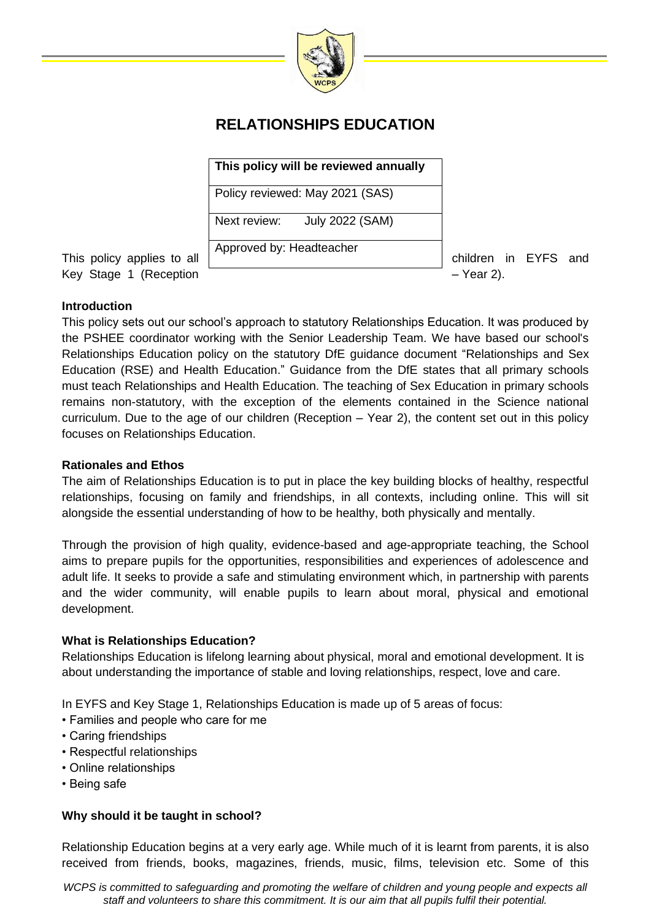

# **RELATIONSHIPS EDUCATION**

**This policy will be reviewed annually**

Policy reviewed: May 2021 (SAS)

Next review: July 2022 (SAM)

Approved by: Headteacher

Key Stage 1 (Reception  $-$  Year 2).

This policy applies to all children in EYFS and

## **Introduction**

This policy sets out our school's approach to statutory Relationships Education. It was produced by the PSHEE coordinator working with the Senior Leadership Team. We have based our school's Relationships Education policy on the statutory DfE guidance document "Relationships and Sex Education (RSE) and Health Education." Guidance from the DfE states that all primary schools must teach Relationships and Health Education. The teaching of Sex Education in primary schools remains non-statutory, with the exception of the elements contained in the Science national curriculum. Due to the age of our children (Reception – Year 2), the content set out in this policy focuses on Relationships Education.

## **Rationales and Ethos**

The aim of Relationships Education is to put in place the key building blocks of healthy, respectful relationships, focusing on family and friendships, in all contexts, including online. This will sit alongside the essential understanding of how to be healthy, both physically and mentally.

Through the provision of high quality, evidence-based and age-appropriate teaching, the School aims to prepare pupils for the opportunities, responsibilities and experiences of adolescence and adult life. It seeks to provide a safe and stimulating environment which, in partnership with parents and the wider community, will enable pupils to learn about moral, physical and emotional development.

## **What is Relationships Education?**

Relationships Education is lifelong learning about physical, moral and emotional development. It is about understanding the importance of stable and loving relationships, respect, love and care.

In EYFS and Key Stage 1, Relationships Education is made up of 5 areas of focus:

- Families and people who care for me
- Caring friendships
- Respectful relationships
- Online relationships
- Being safe

# **Why should it be taught in school?**

Relationship Education begins at a very early age. While much of it is learnt from parents, it is also received from friends, books, magazines, friends, music, films, television etc. Some of this

*WCPS is committed to safequarding and promoting the welfare of children and young people and expects all staff and volunteers to share this commitment. It is our aim that all pupils fulfil their potential.*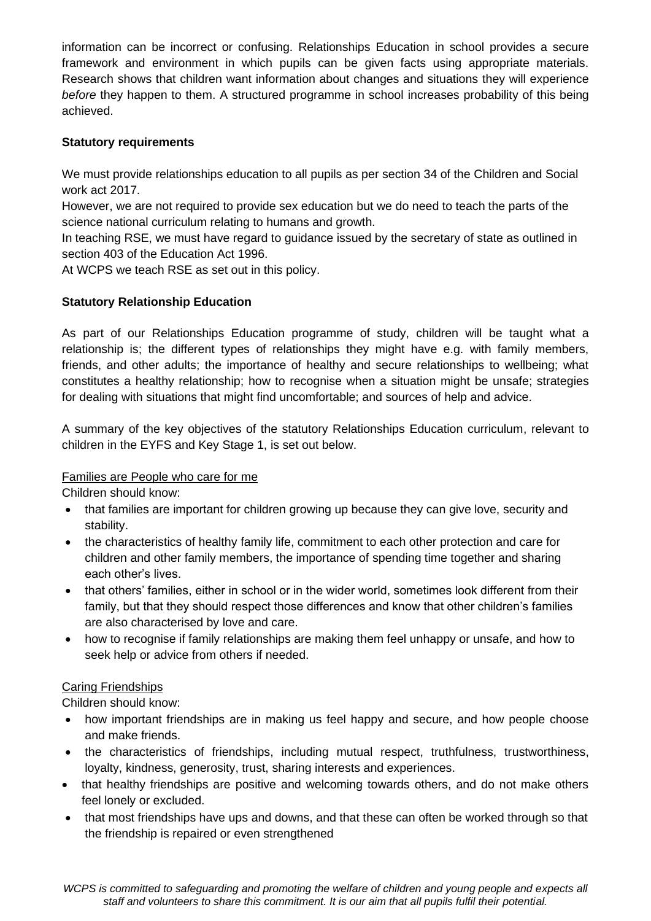information can be incorrect or confusing. Relationships Education in school provides a secure framework and environment in which pupils can be given facts using appropriate materials. Research shows that children want information about changes and situations they will experience *before* they happen to them. A structured programme in school increases probability of this being achieved.

#### **Statutory requirements**

We must provide relationships education to all pupils as per section 34 of the Children and Social work act 2017.

However, we are not required to provide sex education but we do need to teach the parts of the science national curriculum relating to humans and growth.

In teaching RSE, we must have regard to guidance issued by the secretary of state as outlined in section 403 of the Education Act 1996.

At WCPS we teach RSE as set out in this policy.

## **Statutory Relationship Education**

As part of our Relationships Education programme of study, children will be taught what a relationship is; the different types of relationships they might have e.g. with family members, friends, and other adults; the importance of healthy and secure relationships to wellbeing; what constitutes a healthy relationship; how to recognise when a situation might be unsafe; strategies for dealing with situations that might find uncomfortable; and sources of help and advice.

A summary of the key objectives of the statutory Relationships Education curriculum, relevant to children in the EYFS and Key Stage 1, is set out below.

#### Families are People who care for me

Children should know:

- that families are important for children growing up because they can give love, security and stability.
- the characteristics of healthy family life, commitment to each other protection and care for children and other family members, the importance of spending time together and sharing each other's lives.
- that others' families, either in school or in the wider world, sometimes look different from their family, but that they should respect those differences and know that other children's families are also characterised by love and care.
- how to recognise if family relationships are making them feel unhappy or unsafe, and how to seek help or advice from others if needed.

#### Caring Friendships

Children should know:

- how important friendships are in making us feel happy and secure, and how people choose and make friends.
- the characteristics of friendships, including mutual respect, truthfulness, trustworthiness, loyalty, kindness, generosity, trust, sharing interests and experiences.
- that healthy friendships are positive and welcoming towards others, and do not make others feel lonely or excluded.
- that most friendships have ups and downs, and that these can often be worked through so that the friendship is repaired or even strengthened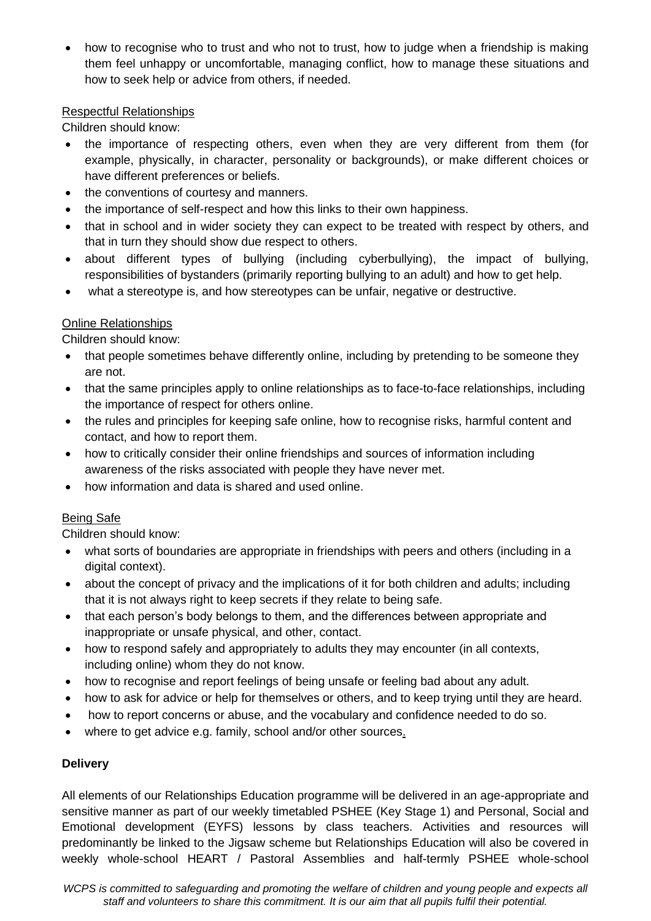• how to recognise who to trust and who not to trust, how to judge when a friendship is making them feel unhappy or uncomfortable, managing conflict, how to manage these situations and how to seek help or advice from others, if needed.

#### Respectful Relationships

Children should know:

- the importance of respecting others, even when they are very different from them (for example, physically, in character, personality or backgrounds), or make different choices or have different preferences or beliefs.
- the conventions of courtesy and manners.
- the importance of self-respect and how this links to their own happiness.
- that in school and in wider society they can expect to be treated with respect by others, and that in turn they should show due respect to others.
- about different types of bullying (including cyberbullying), the impact of bullying, responsibilities of bystanders (primarily reporting bullying to an adult) and how to get help.
- what a stereotype is, and how stereotypes can be unfair, negative or destructive.

## Online Relationships

Children should know:

- that people sometimes behave differently online, including by pretending to be someone they are not.
- that the same principles apply to online relationships as to face-to-face relationships, including the importance of respect for others online.
- the rules and principles for keeping safe online, how to recognise risks, harmful content and contact, and how to report them.
- how to critically consider their online friendships and sources of information including awareness of the risks associated with people they have never met.
- how information and data is shared and used online.

## Being Safe

Children should know:

- what sorts of boundaries are appropriate in friendships with peers and others (including in a digital context).
- about the concept of privacy and the implications of it for both children and adults; including that it is not always right to keep secrets if they relate to being safe.
- that each person's body belongs to them, and the differences between appropriate and inappropriate or unsafe physical, and other, contact.
- how to respond safely and appropriately to adults they may encounter (in all contexts, including online) whom they do not know.
- how to recognise and report feelings of being unsafe or feeling bad about any adult.
- how to ask for advice or help for themselves or others, and to keep trying until they are heard.
- how to report concerns or abuse, and the vocabulary and confidence needed to do so.
- where to get advice e.g. family, school and/or other sources.

## **Delivery**

All elements of our Relationships Education programme will be delivered in an age-appropriate and sensitive manner as part of our weekly timetabled PSHEE (Key Stage 1) and Personal, Social and Emotional development (EYFS) lessons by class teachers. Activities and resources will predominantly be linked to the Jigsaw scheme but Relationships Education will also be covered in weekly whole-school HEART / Pastoral Assemblies and half-termly PSHEE whole-school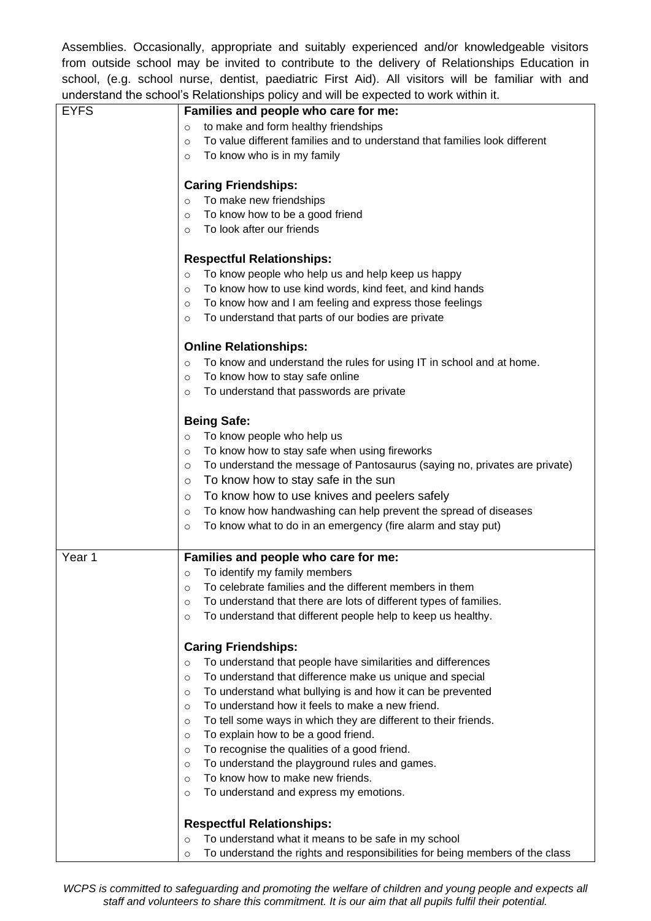Assemblies. Occasionally, appropriate and suitably experienced and/or knowledgeable visitors from outside school may be invited to contribute to the delivery of Relationships Education in school, (e.g. school nurse, dentist, paediatric First Aid). All visitors will be familiar with and understand the school's Relationships policy and will be expected to work within it.

| <b>EYFS</b> | Families and people who care for me:                                                                                      |
|-------------|---------------------------------------------------------------------------------------------------------------------------|
|             | to make and form healthy friendships<br>$\circ$                                                                           |
|             | To value different families and to understand that families look different<br>$\circ$                                     |
|             | To know who is in my family<br>$\circ$                                                                                    |
|             | <b>Caring Friendships:</b>                                                                                                |
|             | To make new friendships<br>$\circ$                                                                                        |
|             | To know how to be a good friend<br>$\circ$                                                                                |
|             | To look after our friends<br>$\circ$                                                                                      |
|             | <b>Respectful Relationships:</b>                                                                                          |
|             | To know people who help us and help keep us happy<br>$\circ$                                                              |
|             | To know how to use kind words, kind feet, and kind hands<br>$\circ$                                                       |
|             | To know how and I am feeling and express those feelings<br>$\circ$                                                        |
|             | To understand that parts of our bodies are private<br>$\circ$                                                             |
|             |                                                                                                                           |
|             | <b>Online Relationships:</b>                                                                                              |
|             | To know and understand the rules for using IT in school and at home.<br>$\circ$                                           |
|             | To know how to stay safe online<br>$\circ$                                                                                |
|             | To understand that passwords are private<br>$\circ$                                                                       |
|             | <b>Being Safe:</b>                                                                                                        |
|             | To know people who help us<br>$\circ$                                                                                     |
|             | To know how to stay safe when using fireworks<br>$\circ$                                                                  |
|             | To understand the message of Pantosaurus (saying no, privates are private)<br>$\circ$                                     |
|             | To know how to stay safe in the sun<br>$\circ$                                                                            |
|             | To know how to use knives and peelers safely<br>$\circ$                                                                   |
|             | To know how handwashing can help prevent the spread of diseases<br>$\circ$                                                |
|             | To know what to do in an emergency (fire alarm and stay put)<br>$\circ$                                                   |
|             |                                                                                                                           |
| Year 1      | Families and people who care for me:                                                                                      |
|             | To identify my family members<br>$\circ$                                                                                  |
|             | To celebrate families and the different members in them<br>$\circ$                                                        |
|             | To understand that there are lots of different types of families.<br>$\circ$                                              |
|             | To understand that different people help to keep us healthy.<br>$\circ$                                                   |
|             | <b>Caring Friendships:</b>                                                                                                |
|             |                                                                                                                           |
|             | To understand that people have similarities and differences<br>$\circ$                                                    |
|             | To understand that difference make us unique and special<br>$\circ$                                                       |
|             | To understand what bullying is and how it can be prevented<br>$\circ$<br>To understand how it feels to make a new friend. |
|             | $\circ$                                                                                                                   |
|             | To tell some ways in which they are different to their friends.<br>$\circ$                                                |
|             | To explain how to be a good friend.<br>$\circ$                                                                            |
|             | To recognise the qualities of a good friend.<br>$\circ$                                                                   |
|             | To understand the playground rules and games.<br>$\circ$                                                                  |
|             | To know how to make new friends.<br>$\circ$                                                                               |
|             | To understand and express my emotions.<br>$\circ$                                                                         |
|             | <b>Respectful Relationships:</b>                                                                                          |
|             | To understand what it means to be safe in my school<br>$\circ$                                                            |
|             | To understand the rights and responsibilities for being members of the class<br>$\circ$                                   |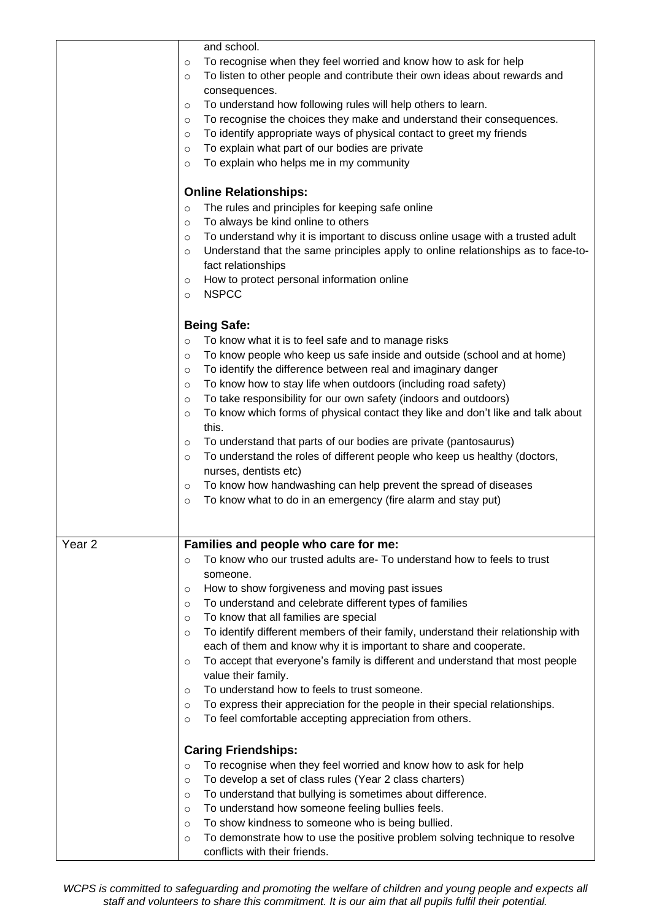|                   | and school.<br>To recognise when they feel worried and know how to ask for help<br>$\circ$<br>To listen to other people and contribute their own ideas about rewards and<br>$\circ$<br>consequences.<br>To understand how following rules will help others to learn.<br>$\circ$<br>To recognise the choices they make and understand their consequences.<br>$\circ$<br>To identify appropriate ways of physical contact to greet my friends<br>$\circ$<br>To explain what part of our bodies are private<br>$\circ$<br>To explain who helps me in my community<br>$\circ$<br><b>Online Relationships:</b><br>The rules and principles for keeping safe online<br>$\circ$<br>To always be kind online to others<br>$\circ$<br>To understand why it is important to discuss online usage with a trusted adult<br>$\circ$                                                            |
|-------------------|-----------------------------------------------------------------------------------------------------------------------------------------------------------------------------------------------------------------------------------------------------------------------------------------------------------------------------------------------------------------------------------------------------------------------------------------------------------------------------------------------------------------------------------------------------------------------------------------------------------------------------------------------------------------------------------------------------------------------------------------------------------------------------------------------------------------------------------------------------------------------------------|
|                   | Understand that the same principles apply to online relationships as to face-to-<br>$\circ$<br>fact relationships<br>How to protect personal information online<br>$\circ$<br><b>NSPCC</b><br>$\circ$                                                                                                                                                                                                                                                                                                                                                                                                                                                                                                                                                                                                                                                                             |
|                   | <b>Being Safe:</b><br>To know what it is to feel safe and to manage risks<br>$\circ$<br>To know people who keep us safe inside and outside (school and at home)<br>$\circ$<br>To identify the difference between real and imaginary danger<br>$\circ$<br>To know how to stay life when outdoors (including road safety)<br>$\circ$<br>To take responsibility for our own safety (indoors and outdoors)<br>$\circ$<br>To know which forms of physical contact they like and don't like and talk about<br>$\circ$<br>this.<br>To understand that parts of our bodies are private (pantosaurus)<br>$\circ$<br>To understand the roles of different people who keep us healthy (doctors,<br>$\circ$<br>nurses, dentists etc)<br>To know how handwashing can help prevent the spread of diseases<br>$\circ$<br>To know what to do in an emergency (fire alarm and stay put)<br>$\circ$ |
| Year <sub>2</sub> | Families and people who care for me:<br>To know who our trusted adults are- To understand how to feels to trust<br>$\circ$<br>someone.<br>How to show forgiveness and moving past issues<br>$\circ$<br>To understand and celebrate different types of families<br>$\circ$<br>To know that all families are special<br>$\circ$<br>To identify different members of their family, understand their relationship with<br>$\circ$<br>each of them and know why it is important to share and cooperate.<br>To accept that everyone's family is different and understand that most people<br>$\circ$<br>value their family.<br>To understand how to feels to trust someone.<br>$\circ$<br>To express their appreciation for the people in their special relationships.<br>$\circ$<br>To feel comfortable accepting appreciation from others.<br>$\circ$                                 |
|                   | <b>Caring Friendships:</b><br>To recognise when they feel worried and know how to ask for help<br>$\circ$<br>To develop a set of class rules (Year 2 class charters)<br>$\circ$<br>To understand that bullying is sometimes about difference.<br>$\circ$<br>To understand how someone feeling bullies feels.<br>$\circ$<br>To show kindness to someone who is being bullied.<br>$\circ$<br>To demonstrate how to use the positive problem solving technique to resolve<br>$\circ$<br>conflicts with their friends.                                                                                                                                                                                                                                                                                                                                                                |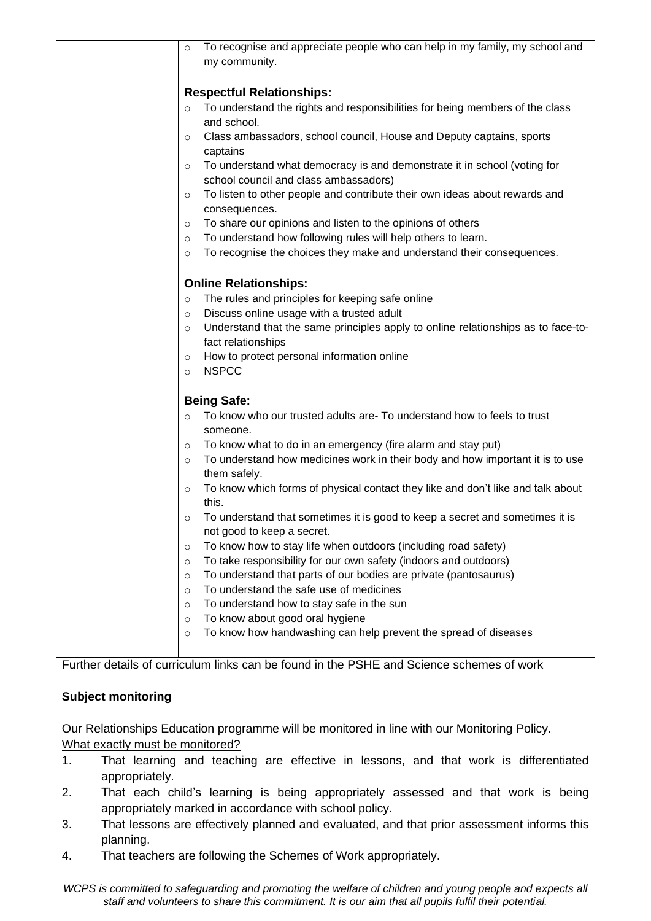|         | To recognise and appreciate people who can help in my family, my school and              |
|---------|------------------------------------------------------------------------------------------|
| $\circ$ |                                                                                          |
|         | my community.                                                                            |
|         |                                                                                          |
|         | <b>Respectful Relationships:</b>                                                         |
| $\circ$ | To understand the rights and responsibilities for being members of the class             |
|         | and school.                                                                              |
| $\circ$ | Class ambassadors, school council, House and Deputy captains, sports                     |
|         | captains                                                                                 |
| $\circ$ | To understand what democracy is and demonstrate it in school (voting for                 |
|         | school council and class ambassadors)                                                    |
|         |                                                                                          |
| $\circ$ | To listen to other people and contribute their own ideas about rewards and               |
|         | consequences.                                                                            |
| $\circ$ | To share our opinions and listen to the opinions of others                               |
| $\circ$ | To understand how following rules will help others to learn.                             |
| $\circ$ | To recognise the choices they make and understand their consequences.                    |
|         |                                                                                          |
|         | <b>Online Relationships:</b>                                                             |
| $\circ$ | The rules and principles for keeping safe online                                         |
| $\circ$ | Discuss online usage with a trusted adult                                                |
| $\circ$ | Understand that the same principles apply to online relationships as to face-to-         |
|         | fact relationships                                                                       |
| $\circ$ | How to protect personal information online                                               |
| $\circ$ | <b>NSPCC</b>                                                                             |
|         |                                                                                          |
|         | <b>Being Safe:</b>                                                                       |
| $\circ$ | To know who our trusted adults are- To understand how to feels to trust                  |
|         | someone.                                                                                 |
| $\circ$ | To know what to do in an emergency (fire alarm and stay put)                             |
| $\circ$ | To understand how medicines work in their body and how important it is to use            |
|         | them safely.                                                                             |
|         |                                                                                          |
| $\circ$ | To know which forms of physical contact they like and don't like and talk about<br>this. |
|         |                                                                                          |
|         | To understand that sometimes it is good to keep a secret and sometimes it is             |
|         | not good to keep a secret.                                                               |
| $\circ$ | To know how to stay life when outdoors (including road safety)                           |
| $\circ$ | To take responsibility for our own safety (indoors and outdoors)                         |
| $\circ$ | To understand that parts of our bodies are private (pantosaurus)                         |
| $\circ$ | To understand the safe use of medicines                                                  |
| $\circ$ | To understand how to stay safe in the sun                                                |
| $\circ$ | To know about good oral hygiene                                                          |
| $\circ$ | To know how handwashing can help prevent the spread of diseases                          |
|         |                                                                                          |
|         | Further details of curriculum links can be found in the PSHE and Science schemes of work |

# **Subject monitoring**

Our Relationships Education programme will be monitored in line with our Monitoring Policy. What exactly must be monitored?

- 1. That learning and teaching are effective in lessons, and that work is differentiated appropriately.
- 2. That each child's learning is being appropriately assessed and that work is being appropriately marked in accordance with school policy.
- 3. That lessons are effectively planned and evaluated, and that prior assessment informs this planning.
- 4. That teachers are following the Schemes of Work appropriately.

*WCPS is committed to safeguarding and promoting the welfare of children and young people and expects all staff and volunteers to share this commitment. It is our aim that all pupils fulfil their potential.*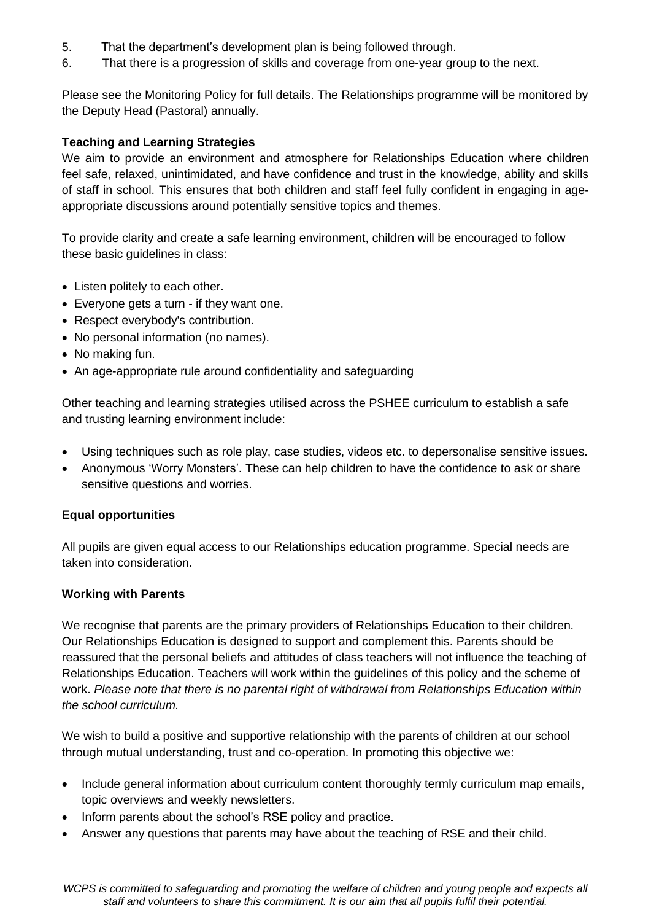- 5. That the department's development plan is being followed through.
- 6. That there is a progression of skills and coverage from one-year group to the next.

Please see the Monitoring Policy for full details. The Relationships programme will be monitored by the Deputy Head (Pastoral) annually.

#### **Teaching and Learning Strategies**

We aim to provide an environment and atmosphere for Relationships Education where children feel safe, relaxed, unintimidated, and have confidence and trust in the knowledge, ability and skills of staff in school. This ensures that both children and staff feel fully confident in engaging in ageappropriate discussions around potentially sensitive topics and themes.

To provide clarity and create a safe learning environment, children will be encouraged to follow these basic guidelines in class:

- Listen politely to each other.
- Everyone gets a turn if they want one.
- Respect everybody's contribution.
- No personal information (no names).
- No making fun.
- An age-appropriate rule around confidentiality and safeguarding

Other teaching and learning strategies utilised across the PSHEE curriculum to establish a safe and trusting learning environment include:

- Using techniques such as role play, case studies, videos etc. to depersonalise sensitive issues.
- Anonymous 'Worry Monsters'. These can help children to have the confidence to ask or share sensitive questions and worries.

#### **Equal opportunities**

All pupils are given equal access to our Relationships education programme. Special needs are taken into consideration.

#### **Working with Parents**

We recognise that parents are the primary providers of Relationships Education to their children. Our Relationships Education is designed to support and complement this. Parents should be reassured that the personal beliefs and attitudes of class teachers will not influence the teaching of Relationships Education. Teachers will work within the guidelines of this policy and the scheme of work. *Please note that there is no parental right of withdrawal from Relationships Education within the school curriculum.*

We wish to build a positive and supportive relationship with the parents of children at our school through mutual understanding, trust and co-operation. In promoting this objective we:

- Include general information about curriculum content thoroughly termly curriculum map emails, topic overviews and weekly newsletters.
- Inform parents about the school's RSE policy and practice.
- Answer any questions that parents may have about the teaching of RSE and their child.